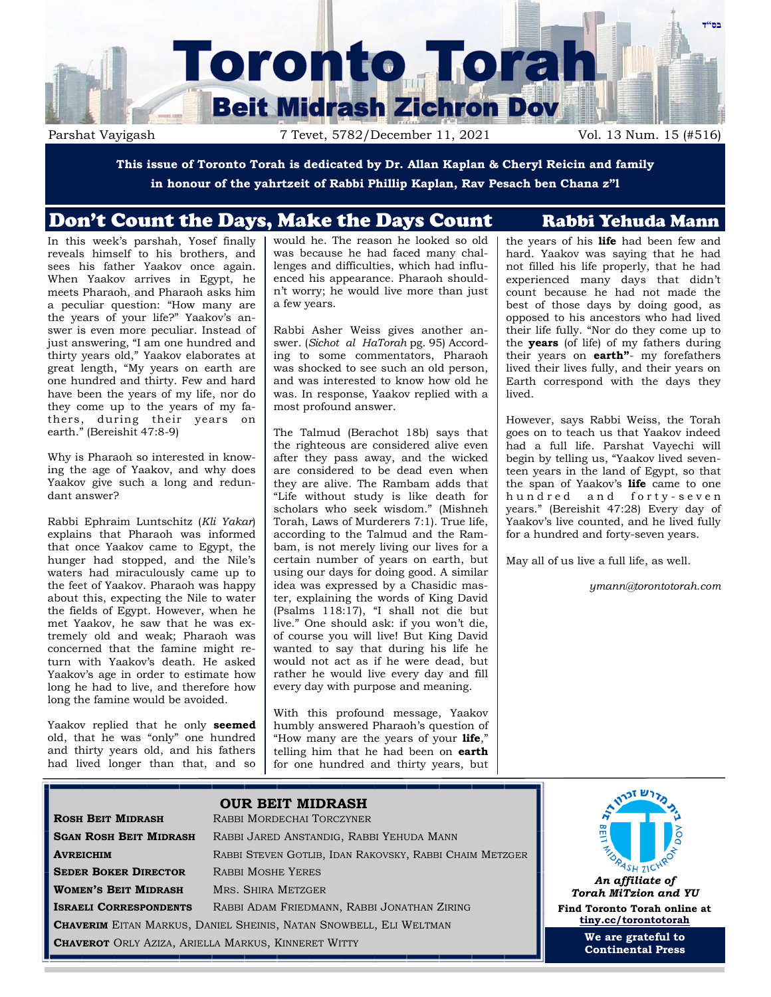

Parshat Vayigash 7 Tevet, 5782/December 11, 2021 Vol. 13 Num. 15 (#516)

**This issue of Toronto Torah is dedicated by Dr. Allan Kaplan & Cheryl Reicin and family in honour of the yahrtzeit of Rabbi Phillip Kaplan, Rav Pesach ben Chana z"l**

# Don't Count the Days, Make the Days Count Rabbi Yehuda Mann

In this week's parshah, Yosef finally reveals himself to his brothers, and sees his father Yaakov once again. When Yaakov arrives in Egypt, he meets Pharaoh, and Pharaoh asks him a peculiar question: "How many are the years of your life?" Yaakov's answer is even more peculiar. Instead of just answering, "I am one hundred and thirty years old," Yaakov elaborates at great length, "My years on earth are one hundred and thirty. Few and hard have been the years of my life, nor do they come up to the years of my fathers, during their years on earth." (Bereishit 47:8-9)

Why is Pharaoh so interested in knowing the age of Yaakov, and why does Yaakov give such a long and redundant answer?

Rabbi Ephraim Luntschitz (*Kli Yakar*) explains that Pharaoh was informed that once Yaakov came to Egypt, the hunger had stopped, and the Nile's waters had miraculously came up to the feet of Yaakov. Pharaoh was happy about this, expecting the Nile to water the fields of Egypt. However, when he met Yaakov, he saw that he was extremely old and weak; Pharaoh was concerned that the famine might return with Yaakov's death. He asked Yaakov's age in order to estimate how long he had to live, and therefore how long the famine would be avoided.

Yaakov replied that he only **seemed** old, that he was "only" one hundred and thirty years old, and his fathers had lived longer than that, and so would he. The reason he looked so old was because he had faced many challenges and difficulties, which had influenced his appearance. Pharaoh shouldn't worry; he would live more than just a few years.

Rabbi Asher Weiss gives another answer. (*Sichot al HaTorah* pg. 95) According to some commentators, Pharaoh was shocked to see such an old person, and was interested to know how old he was. In response, Yaakov replied with a most profound answer.

The Talmud (Berachot 18b) says that the righteous are considered alive even after they pass away, and the wicked are considered to be dead even when they are alive. The Rambam adds that "Life without study is like death for scholars who seek wisdom." (Mishneh Torah, Laws of Murderers 7:1). True life, according to the Talmud and the Rambam, is not merely living our lives for a certain number of years on earth, but using our days for doing good. A similar idea was expressed by a Chasidic master, explaining the words of King David (Psalms 118:17), "I shall not die but live." One should ask: if you won't die, of course you will live! But King David wanted to say that during his life he would not act as if he were dead, but rather he would live every day and fill every day with purpose and meaning.

With this profound message, Yaakov humbly answered Pharaoh's question of "How many are the years of your **life**," telling him that he had been on **earth** for one hundred and thirty years, but

the years of his **life** had been few and hard. Yaakov was saying that he had not filled his life properly, that he had experienced many days that didn't count because he had not made the best of those days by doing good, as opposed to his ancestors who had lived their life fully. "Nor do they come up to the **years** (of life) of my fathers during their years on **earth"**- my forefathers lived their lives fully, and their years on Earth correspond with the days they lived.

However, says Rabbi Weiss, the Torah goes on to teach us that Yaakov indeed had a full life. Parshat Vayechi will begin by telling us, "Yaakov lived seventeen years in the land of Egypt, so that the span of Yaakov's **life** came to one hundred and forty-seven years." (Bereishit 47:28) Every day of Yaakov's live counted, and he lived fully for a hundred and forty-seven years.

May all of us live a full life, as well.

*ymann@torontotorah.com*

|                                                                           | <b>OUR BEIT MIDRASH</b>                                 |                   |
|---------------------------------------------------------------------------|---------------------------------------------------------|-------------------|
| <b>ROSH BEIT MIDRASH</b>                                                  | RABBI MORDECHAI TORCZYNER                               |                   |
| <b>SGAN ROSH BEIT MIDRASH</b>                                             | RABBI JARED ANSTANDIG, RABBI YEHUDA MANN                |                   |
| <b>AVREICHIM</b>                                                          | RABBI STEVEN GOTLIB, IDAN RAKOVSKY, RABBI CHAIM METZGER |                   |
| <b>SEDER BOKER DIRECTOR</b>                                               | <b>RABBI MOSHE YERES</b>                                |                   |
| <b>WOMEN'S BEIT MIDRASH</b>                                               | MRS. SHIRA METZGER                                      | Tо                |
| <b>ISRAELI CORRESPONDENTS</b>                                             | RABBI ADAM FRIEDMANN, RABBI JONATHAN ZIRING             | Find <sup>*</sup> |
| <b>CHAVERIM</b> EITAN MARKUS, DANIEL SHEINIS, NATAN SNOWBELL, ELI WELTMAN |                                                         | ti                |
| <b>CHAVEROT</b> ORLY AZIZA, ARIELLA MARKUS, KINNERET WITTY                |                                                         |                   |
|                                                                           |                                                         |                   |



*Torah MiTzion and YU* **Find Toronto Torah online at [tiny.cc/torontotorah](http://tiny.cc/torontotorah)**

> **We are grateful to Continental Press**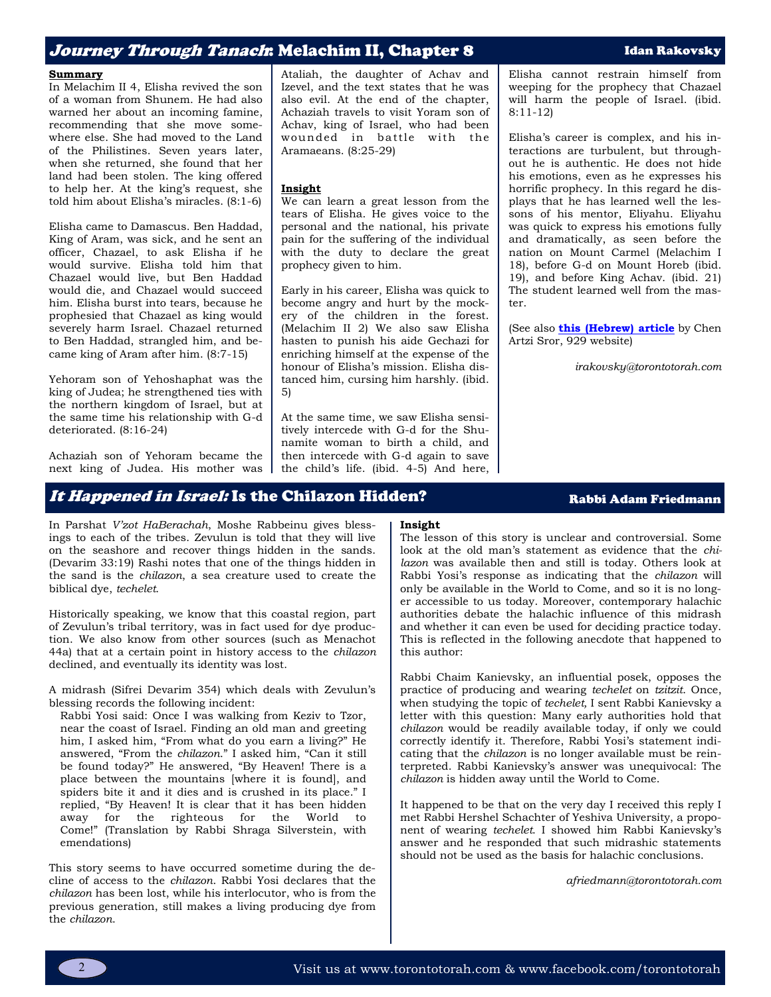# Jo*urney Through Tanach*: Melachim II, Chapter 8 Idan Rakovsky

## **Summary**

In Melachim II 4, Elisha revived the son of a woman from Shunem. He had also warned her about an incoming famine, recommending that she move somewhere else. She had moved to the Land of the Philistines. Seven years later, when she returned, she found that her land had been stolen. The king offered to help her. At the king's request, she told him about Elisha's miracles. (8:1-6)

Elisha came to Damascus. Ben Haddad, King of Aram, was sick, and he sent an officer, Chazael, to ask Elisha if he would survive. Elisha told him that Chazael would live, but Ben Haddad would die, and Chazael would succeed him. Elisha burst into tears, because he prophesied that Chazael as king would severely harm Israel. Chazael returned to Ben Haddad, strangled him, and became king of Aram after him. (8:7-15)

Yehoram son of Yehoshaphat was the king of Judea; he strengthened ties with the northern kingdom of Israel, but at the same time his relationship with G-d deteriorated. (8:16-24)

Achaziah son of Yehoram became the next king of Judea. His mother was

It Happened in Israel: Is the Chilazon Hidden? Rabbi Adam Friedmann

In Parshat *V'zot HaBerachah*, Moshe Rabbeinu gives blessings to each of the tribes. Zevulun is told that they will live on the seashore and recover things hidden in the sands. (Devarim 33:19) Rashi notes that one of the things hidden in the sand is the *chilazon*, a sea creature used to create the biblical dye, *techelet*.

Historically speaking, we know that this coastal region, part of Zevulun's tribal territory, was in fact used for dye production. We also know from other sources (such as Menachot 44a) that at a certain point in history access to the *chilazon* declined, and eventually its identity was lost.

A midrash (Sifrei Devarim 354) which deals with Zevulun's blessing records the following incident:

Rabbi Yosi said: Once I was walking from Keziv to Tzor, near the coast of Israel. Finding an old man and greeting him, I asked him, "From what do you earn a living?" He answered, "From the *chilazon*." I asked him, "Can it still be found today?" He answered, "By Heaven! There is a place between the mountains [where it is found], and spiders bite it and it dies and is crushed in its place." I replied, "By Heaven! It is clear that it has been hidden away for the righteous for the World to Come!" (Translation by Rabbi Shraga Silverstein, with emendations)

This story seems to have occurred sometime during the decline of access to the *chilazon*. Rabbi Yosi declares that the *chilazon* has been lost, while his interlocutor, who is from the previous generation, still makes a living producing dye from the *chilazon*.

Ataliah, the daughter of Achav and Izevel, and the text states that he was also evil. At the end of the chapter, Achaziah travels to visit Yoram son of Achav, king of Israel, who had been wounded in battle with the Aramaeans. (8:25-29)

## **Insight**

We can learn a great lesson from the tears of Elisha. He gives voice to the personal and the national, his private pain for the suffering of the individual with the duty to declare the great prophecy given to him.

Early in his career, Elisha was quick to become angry and hurt by the mockery of the children in the forest. (Melachim II 2) We also saw Elisha hasten to punish his aide Gechazi for enriching himself at the expense of the honour of Elisha's mission. Elisha distanced him, cursing him harshly. (ibid. 5)

At the same time, we saw Elisha sensitively intercede with G-d for the Shunamite woman to birth a child, and then intercede with G-d again to save the child's life. (ibid. 4-5) And here, Elisha cannot restrain himself from weeping for the prophecy that Chazael will harm the people of Israel. (ibid. 8:11-12)

Elisha's career is complex, and his interactions are turbulent, but throughout he is authentic. He does not hide his emotions, even as he expresses his horrific prophecy. In this regard he displays that he has learned well the lessons of his mentor, Eliyahu. Eliyahu was quick to express his emotions fully and dramatically, as seen before the nation on Mount Carmel (Melachim I 18), before G-d on Mount Horeb (ibid. 19), and before King Achav. (ibid. 21) The student learned well from the master.

(See also **[this \(Hebrew\) article](https://www.929.org.il/page/317/post/8517)** by Chen Artzi Sror, 929 website)

*irakovsky@torontotorah.com*

## **Insight**

The lesson of this story is unclear and controversial. Some look at the old man's statement as evidence that the *chilazon* was available then and still is today. Others look at Rabbi Yosi's response as indicating that the *chilazon* will only be available in the World to Come, and so it is no longer accessible to us today. Moreover, contemporary halachic authorities debate the halachic influence of this midrash and whether it can even be used for deciding practice today. This is reflected in the following anecdote that happened to this author:

Rabbi Chaim Kanievsky, an influential posek, opposes the practice of producing and wearing *techelet* on *tzitzit*. Once, when studying the topic of *techelet,* I sent Rabbi Kanievsky a letter with this question: Many early authorities hold that *chilazon* would be readily available today, if only we could correctly identify it. Therefore, Rabbi Yosi's statement indicating that the *chilazon* is no longer available must be reinterpreted. Rabbi Kanievsky's answer was unequivocal: The *chilazon* is hidden away until the World to Come.

It happened to be that on the very day I received this reply I met Rabbi Hershel Schachter of Yeshiva University, a proponent of wearing *techelet*. I showed him Rabbi Kanievsky's answer and he responded that such midrashic statements should not be used as the basis for halachic conclusions.

*afriedmann@torontotorah.com*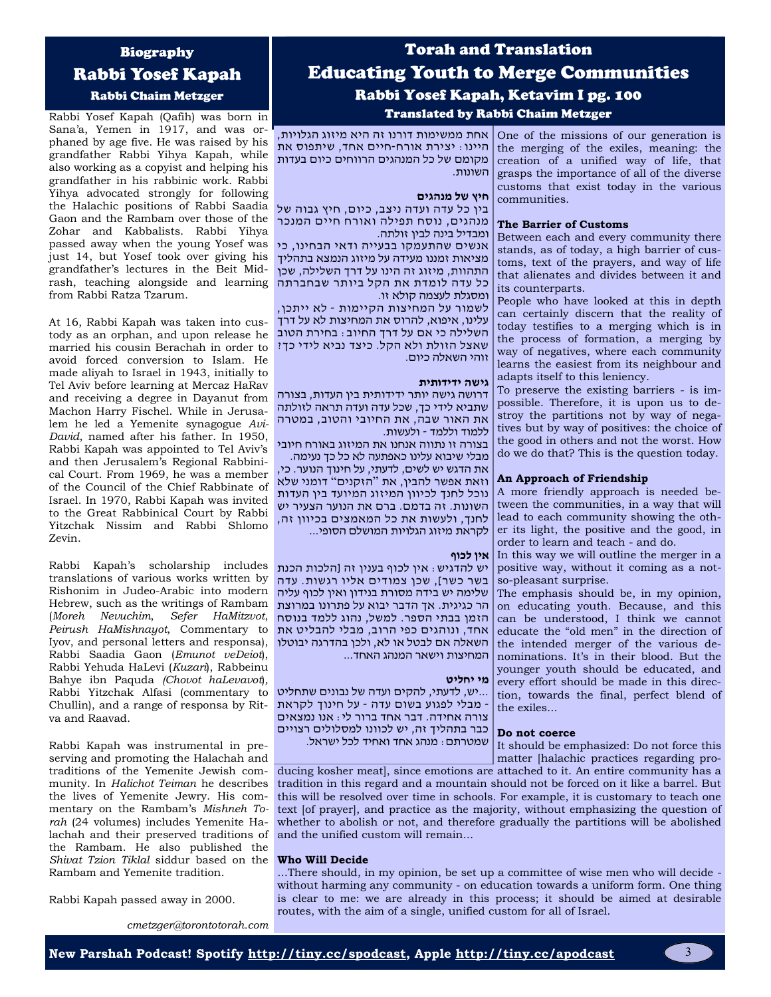## Biography

# Rabbi Yosef Kapah

Rabbi Chaim Metzger

Rabbi Yosef Kapah (Qafih) was born in Sana'a, Yemen in 1917, and was orphaned by age five. He was raised by his grandfather Rabbi Yihya Kapah, while also working as a copyist and helping his grandfather in his rabbinic work. Rabbi Yihya advocated strongly for following the Halachic positions of Rabbi Saadia Gaon and the Rambam over those of the Zohar and Kabbalists. Rabbi Yihya passed away when the young Yosef was just 14, but Yosef took over giving his grandfather's lectures in the Beit Midrash, teaching alongside and learning from Rabbi Ratza Tzarum.

At 16, Rabbi Kapah was taken into custody as an orphan, and upon release he married his cousin Berachah in order to avoid forced conversion to Islam. He made aliyah to Israel in 1943, initially to Tel Aviv before learning at Mercaz HaRav and receiving a degree in Dayanut from Machon Harry Fischel. While in Jerusalem he led a Yemenite synagogue *Avi-David*, named after his father. In 1950, Rabbi Kapah was appointed to Tel Aviv's and then Jerusalem's Regional Rabbinical Court. From 1969, he was a member of the Council of the Chief Rabbinate of Israel. In 1970, Rabbi Kapah was invited to the Great Rabbinical Court by Rabbi Yitzchak Nissim and Rabbi Shlomo Zevin.

Rabbi Kapah's scholarship includes translations of various works written by Rishonim in Judeo-Arabic into modern Hebrew, such as the writings of Rambam (*Moreh Nevuchim*, *Sefer HaMitzvot*, *Peirush HaMishnayot*, Commentary to Iyov, and personal letters and responsa), Rabbi Saadia Gaon (*Emunot veDeiot*), Rabbi Yehuda HaLevi (*Kuzari*), Rabbeinu Bahye ibn Paquda *(Chovot haLevavot*)*,* Rabbi Yitzchak Alfasi (commentary to Chullin), and a range of responsa by Ritva and Raavad.

Rabbi Kapah was instrumental in preserving and promoting the Halachah and traditions of the Yemenite Jewish community. In *Halichot Teiman* he describes the lives of Yemenite Jewry. His commentary on the Rambam's *Mishneh Torah* (24 volumes) includes Yemenite Halachah and their preserved traditions of the Rambam. He also published the *Shivat Tzion Tiklal* siddur based on the Rambam and Yemenite tradition.

Rabbi Kapah passed away in 2000.

# Torah and Translation Educating Youth to Merge Communities Rabbi Yosef Kapah, Ketavim I pg. 100 Translated by Rabbi Chaim Metzger

אחת ממשימות דורנו זה היא מיזוג הגלויות, היינו: יצירת אורח -חיים אחד, שיתפוס את מקומם של כל המנהגים הרווחים כיום בעדות השונות.

One of the missions of our generation is the merging of the exiles, meaning: the creation of a unified way of life, that grasps the importance of all of the diverse customs that exist today in the various communities.

Between each and every community there stands, as of today, a high barrier of customs, text of the prayers, and way of life that alienates and divides between it and

People who have looked at this in depth can certainly discern that the reality of today testifies to a merging which is in the process of formation, a merging by way of negatives, where each community learns the easiest from its neighbour and

**The Barrier of Customs** 

its counterparts.

## **חיץ של מנהגים**

בין כל עדה ועדה ניצב, כיום, חיץ גבוה של מנהגים, נוסח תפילה ואורח חיים המנכר ומבדיל בינה לבין זולתה.

אנשים שהתעמקו בבעייה ודאי הבחינו, כי מציאות זמננו מעידה על מיזוג הנמצא בתהליך התהוות, מיזוג זה הינו על דרך השלילה, שכן כל עדה לומדת את הקל ביותר שבחברתה ומסגלת לעצמה קולא זו.

לשמור על המחיצות הקיימות - לא ייתכן, עלינו, איפוא, להרוס את המחיצות לא על דרך השלילה כי אם על דרך החיוב: בחירת הטוב שאצל הזולת ולא הקל. כיצד נביא לידי כך? זוהי השאלה כיום.

### **גישה ידידותית**

דרושה גישה יותר ידידותית בין העדות, בצורה שתביא לידי כך, שכל עדה ועדה תראה לזולתה את האור שבה, את החיובי והטוב, במטרה ללמוד וללמד - ולעשות.

בצורה זו נתווה אנחנו את המיזוג באורח חיובי מבלי שיבוא עלינו כאפתעה לא כל כך נעימה.

את הדגש יש לשים, לדעתי, על חינוך הנוער. כי, וזאת אפשר להבין, את " הזקנים " דומני שלא נוכל לחנך לכיוון המיזוג המיועד בין העדות השונות. זה בדמם. ברם את הנוער הצעיר יש לחנך, ולעשות את כל המאמצים בכיוון זה, לקראת מיזוג הגלויות המושלם הסופי...

### **אין לכוף**

יש להדגיש: אין לכוף בענין זה ]הלכות הכנת בשר כשר[, שכן צמודים אליו רגשות. עדה שלימה יש בידה מסורת בנידון ואין לכוף עליה הר כגיגית. אך הדבר יבוא על פתרונו במרוצת הזמן בבתי הספר. למשל, נהוג ללמד בנוסח אחד, ונוהגים כפי הרוב, מבלי להבליט את השאלה אם לבטל או לא, ולכן בהדרגה יבוטלו המחיצות וישאר המנהג האחד...

#### **מי יחליט**

...יש, לדעתי, להקים ועדה של נבונים שתחליט - מבלי לפגוע בשום עדה - על חינוך לקראת צורה אחידה. דבר אחד ברור לי: אנו נמצאים כבר בתהליך זה, יש לכוונו למסלולים רצויים שמטרתם: מנהג אחד ואחיד לכל ישראל.

adapts itself to this leniency. To preserve the existing barriers - is impossible. Therefore, it is upon us to destroy the partitions not by way of negatives but by way of positives: the choice of the good in others and not the worst. How do we do that? This is the question today.

## **An Approach of Friendship**

A more friendly approach is needed between the communities, in a way that will lead to each community showing the other its light, the positive and the good, in order to learn and teach - and do.

In this way we will outline the merger in a positive way, without it coming as a notso-pleasant surprise.

The emphasis should be, in my opinion, on educating youth. Because, and this can be understood, I think we cannot educate the "old men" in the direction of the intended merger of the various denominations. It's in their blood. But the younger youth should be educated, and every effort should be made in this direction, towards the final, perfect blend of the exiles...

## **Do not coerce**

It should be emphasized: Do not force this matter [halachic practices regarding pro-

ducing kosher meat], since emotions are attached to it. An entire community has a tradition in this regard and a mountain should not be forced on it like a barrel. But this will be resolved over time in schools. For example, it is customary to teach one text [of prayer], and practice as the majority, without emphasizing the question of whether to abolish or not, and therefore gradually the partitions will be abolished and the unified custom will remain...

## **Who Will Decide**

...There should, in my opinion, be set up a committee of wise men who will decide without harming any community - on education towards a uniform form. One thing is clear to me: we are already in this process; it should be aimed at desirable routes, with the aim of a single, unified custom for all of Israel.

*cmetzger@torontotorah.com*